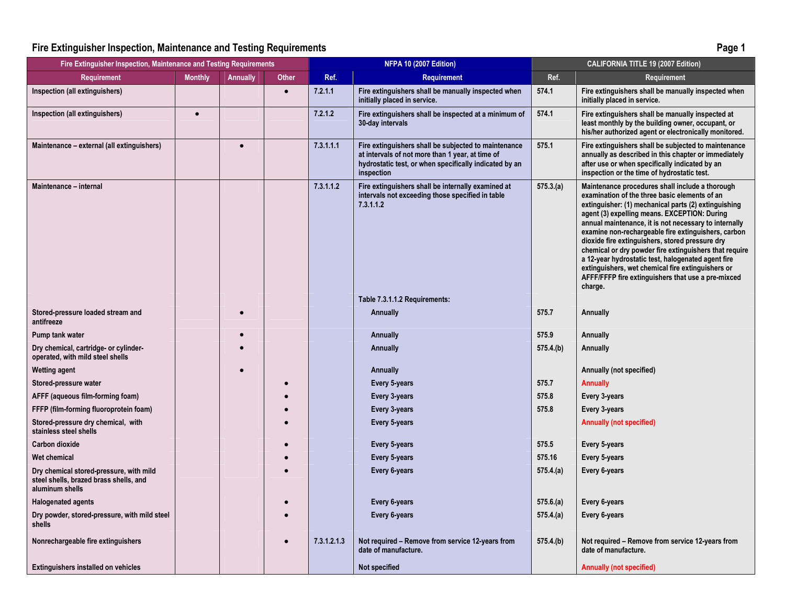## Fire Extinguisher Inspection, Maintenance and Testing Requirements

| ~ | Page 1 |
|---|--------|
|---|--------|

| Fire Extinguisher Inspection, Maintenance and Testing Requirements                                   |                | <b>NFPA 10 (2007 Edition)</b> |              | <b>CALIFORNIA TITLE 19 (2007 Edition)</b> |                                                                                                                                                                                  |           |                                                                                                                                                                                                                                                                                                                                                                                                                                                                                                                                                                                                                   |
|------------------------------------------------------------------------------------------------------|----------------|-------------------------------|--------------|-------------------------------------------|----------------------------------------------------------------------------------------------------------------------------------------------------------------------------------|-----------|-------------------------------------------------------------------------------------------------------------------------------------------------------------------------------------------------------------------------------------------------------------------------------------------------------------------------------------------------------------------------------------------------------------------------------------------------------------------------------------------------------------------------------------------------------------------------------------------------------------------|
| <b>Requirement</b>                                                                                   | <b>Monthly</b> | Annually                      | <b>Other</b> | Ref.                                      | <b>Requirement</b>                                                                                                                                                               | Ref.      | Requirement                                                                                                                                                                                                                                                                                                                                                                                                                                                                                                                                                                                                       |
| Inspection (all extinguishers)                                                                       |                |                               | $\bullet$    | 7.2.1.1                                   | Fire extinguishers shall be manually inspected when<br>initially placed in service.                                                                                              | 574.1     | Fire extinguishers shall be manually inspected when<br>initially placed in service.                                                                                                                                                                                                                                                                                                                                                                                                                                                                                                                               |
| Inspection (all extinguishers)                                                                       | $\bullet$      |                               |              | 7.2.1.2                                   | Fire extinguishers shall be inspected at a minimum of<br>30-day intervals                                                                                                        | 574.1     | Fire extinguishers shall be manually inspected at<br>least monthly by the building owner, occupant, or<br>his/her authorized agent or electronically monitored.                                                                                                                                                                                                                                                                                                                                                                                                                                                   |
| Maintenance - external (all extinguishers)                                                           |                | $\bullet$                     |              | 7.3.1.1.1                                 | Fire extinguishers shall be subjected to maintenance<br>at intervals of not more than 1 year, at time of<br>hydrostatic test, or when specifically indicated by an<br>inspection | 575.1     | Fire extinguishers shall be subjected to maintenance<br>annually as described in this chapter or immediately<br>after use or when specifically indicated by an<br>inspection or the time of hydrostatic test.                                                                                                                                                                                                                                                                                                                                                                                                     |
| Maintenance - internal                                                                               |                |                               |              | 7.3.1.1.2                                 | Fire extinguishers shall be internally examined at<br>intervals not exceeding those specified in table<br>7.3.1.1.2                                                              | 575.3(a)  | Maintenance procedures shall include a thorough<br>examination of the three basic elements of an<br>extinguisher: (1) mechanical parts (2) extinguishing<br>agent (3) expelling means. EXCEPTION: During<br>annual maintenance, it is not necessary to internally<br>examine non-rechargeable fire extinguishers, carbon<br>dioxide fire extinguishers, stored pressure dry<br>chemical or dry powder fire extinguishers that require<br>a 12-year hydrostatic test, halogenated agent fire<br>extinguishers, wet chemical fire extinguishers or<br>AFFF/FFFP fire extinguishers that use a pre-mixced<br>charge. |
|                                                                                                      |                |                               |              |                                           | Table 7.3.1.1.2 Requirements:                                                                                                                                                    |           |                                                                                                                                                                                                                                                                                                                                                                                                                                                                                                                                                                                                                   |
| Stored-pressure loaded stream and<br>antifreeze                                                      |                |                               |              |                                           | Annually                                                                                                                                                                         | 575.7     | <b>Annually</b>                                                                                                                                                                                                                                                                                                                                                                                                                                                                                                                                                                                                   |
| Pump tank water                                                                                      |                |                               |              |                                           | Annually                                                                                                                                                                         | 575.9     | Annually                                                                                                                                                                                                                                                                                                                                                                                                                                                                                                                                                                                                          |
| Dry chemical, cartridge- or cylinder-<br>operated, with mild steel shells                            |                |                               |              |                                           | Annually                                                                                                                                                                         | 575.4.(b) | <b>Annually</b>                                                                                                                                                                                                                                                                                                                                                                                                                                                                                                                                                                                                   |
| <b>Wetting agent</b>                                                                                 |                |                               |              |                                           | Annually                                                                                                                                                                         |           | Annually (not specified)                                                                                                                                                                                                                                                                                                                                                                                                                                                                                                                                                                                          |
| Stored-pressure water                                                                                |                |                               |              |                                           | Every 5-years                                                                                                                                                                    | 575.7     | <b>Annually</b>                                                                                                                                                                                                                                                                                                                                                                                                                                                                                                                                                                                                   |
| AFFF (aqueous film-forming foam)                                                                     |                |                               |              |                                           | Every 3-years                                                                                                                                                                    | 575.8     | Every 3-years                                                                                                                                                                                                                                                                                                                                                                                                                                                                                                                                                                                                     |
| FFFP (film-forming fluoroprotein foam)                                                               |                |                               |              |                                           | Every 3-years                                                                                                                                                                    | 575.8     | Every 3-years                                                                                                                                                                                                                                                                                                                                                                                                                                                                                                                                                                                                     |
| Stored-pressure dry chemical, with<br>stainless steel shells                                         |                |                               |              |                                           | Every 5-years                                                                                                                                                                    |           | <b>Annually (not specified)</b>                                                                                                                                                                                                                                                                                                                                                                                                                                                                                                                                                                                   |
| Carbon dioxide                                                                                       |                |                               |              |                                           | Every 5-years                                                                                                                                                                    | 575.5     | Every 5-years                                                                                                                                                                                                                                                                                                                                                                                                                                                                                                                                                                                                     |
| <b>Wet chemical</b>                                                                                  |                |                               |              |                                           | Every 5-years                                                                                                                                                                    | 575.16    | Every 5-years                                                                                                                                                                                                                                                                                                                                                                                                                                                                                                                                                                                                     |
| Dry chemical stored-pressure, with mild<br>steel shells, brazed brass shells, and<br>aluminum shells |                |                               |              |                                           | Every 6-years                                                                                                                                                                    | 575.4(a)  | Every 6-years                                                                                                                                                                                                                                                                                                                                                                                                                                                                                                                                                                                                     |
| <b>Halogenated agents</b>                                                                            |                |                               |              |                                           | Every 6-years                                                                                                                                                                    | 575.6(a)  | Every 6-years                                                                                                                                                                                                                                                                                                                                                                                                                                                                                                                                                                                                     |
| Dry powder, stored-pressure, with mild steel<br>shells                                               |                |                               |              |                                           | Every 6-years                                                                                                                                                                    | 575.4(a)  | Every 6-years                                                                                                                                                                                                                                                                                                                                                                                                                                                                                                                                                                                                     |
| Nonrechargeable fire extinguishers                                                                   |                |                               |              | 7.3.1.2.1.3                               | Not required – Remove from service 12-years from<br>date of manufacture.                                                                                                         | 575.4(b)  | Not required – Remove from service 12-years from<br>date of manufacture.                                                                                                                                                                                                                                                                                                                                                                                                                                                                                                                                          |
| <b>Extinguishers installed on vehicles</b>                                                           |                |                               |              |                                           | Not specified                                                                                                                                                                    |           | <b>Annually (not specified)</b>                                                                                                                                                                                                                                                                                                                                                                                                                                                                                                                                                                                   |